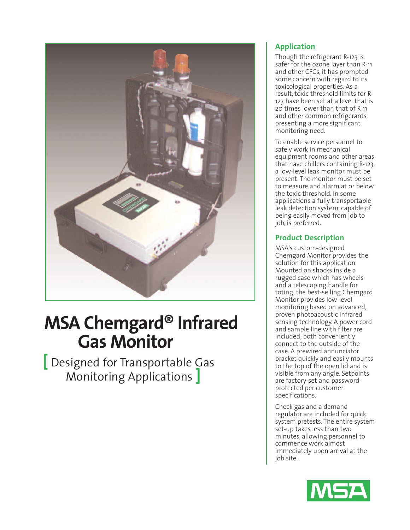

# **MSA Chemgard® Infrared Gas Monitor**

**[** Designed for Transportable Gas Monitoring Applications **]**

### **Application**

Though the refrigerant R-123 is safer for the ozone layer than R-11 and other CFCs, it has prompted some concern with regard to its toxicological properties. As a result, toxic threshold limits for R-123 have been set at a level that is 20 times lower than that of R-11 and other common refrigerants, presenting a more significant monitoring need.

To enable service personnel to safely work in mechanical equipment rooms and other areas that have chillers containing R-123, a low-level leak monitor must be present. The monitor must be set to measure and alarm at or below the toxic threshold. In some applications a fully transportable leak detection system, capable of being easily moved from job to job, is preferred.

## **Product Description**

MSA's custom-designed Chemgard Monitor provides the solution for this application. Mounted on shocks inside a rugged case which has wheels and a telescoping handle for toting, the best-selling Chemgard Monitor provides low-level monitoring based on advanced, proven photoacoustic infrared sensing technology. A power cord and sample line with filter are included; both conveniently connect to the outside of the case. A prewired annunciator bracket quickly and easily mounts to the top of the open lid and is visible from any angle. Setpoints are factory-set and passwordprotected per customer specifications.

Check gas and a demand regulator are included for quick system pretests. The entire system set-up takes less than two minutes, allowing personnel to commence work almost immediately upon arrival at the job site.